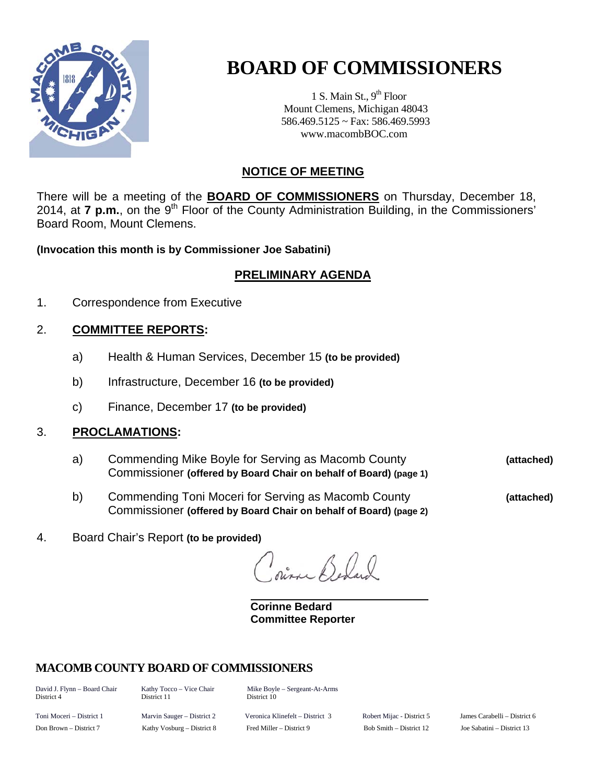

# **BOARD OF COMMISSIONERS**

1 S. Main St.,  $9<sup>th</sup>$  Floor Mount Clemens, Michigan 48043 586.469.5125 ~ Fax: 586.469.5993 www.macombBOC.com

## **NOTICE OF MEETING**

There will be a meeting of the **BOARD OF COMMISSIONERS** on Thursday, December 18, 2014, at **7 p.m.**, on the 9<sup>th</sup> Floor of the County Administration Building, in the Commissioners' Board Room, Mount Clemens.

**(Invocation this month is by Commissioner Joe Sabatini)** 

## **PRELIMINARY AGENDA**

1. Correspondence from Executive

## 2. **COMMITTEE REPORTS:**

- a) Health & Human Services, December 15 **(to be provided)**
- b) Infrastructure, December 16 **(to be provided)**
- c) Finance, December 17 **(to be provided)**

### 3. **PROCLAMATIONS:**

- a) Commending Mike Boyle for Serving as Macomb County **(attached)** Commissioner **(offered by Board Chair on behalf of Board) (page 1)**
- b) Commending Toni Moceri for Serving as Macomb County **(attached)** Commissioner **(offered by Board Chair on behalf of Board) (page 2)**

4. Board Chair's Report **(to be provided)**

pina Beland

 **Corinne Bedard Committee Reporter** 

## **MACOMB COUNTY BOARD OF COMMISSIONERS**

District 4 District 11 District 10

David J. Flynn – Board Chair Kathy Tocco – Vice Chair Mike Boyle – Sergeant-At-Arms

Toni Moceri – District 1 Marvin Sauger – District 2 Veronica Klinefelt – District 3 Robert Mijac - District 5 James Carabelli – District 6 Don Brown – District 7 Kathy Vosburg – District 8 Fred Miller – District 9 Bob Smith – District 12 Joe Sabatini – District 13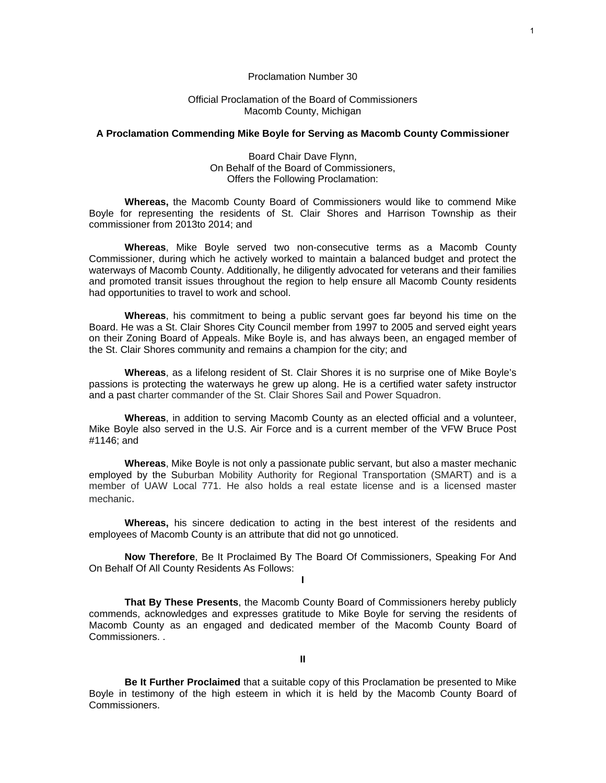#### Proclamation Number 30

#### Official Proclamation of the Board of Commissioners Macomb County, Michigan

#### **A Proclamation Commending Mike Boyle for Serving as Macomb County Commissioner**

Board Chair Dave Flynn, On Behalf of the Board of Commissioners, Offers the Following Proclamation:

**Whereas,** the Macomb County Board of Commissioners would like to commend Mike Boyle for representing the residents of St. Clair Shores and Harrison Township as their commissioner from 2013to 2014; and

**Whereas**, Mike Boyle served two non-consecutive terms as a Macomb County Commissioner, during which he actively worked to maintain a balanced budget and protect the waterways of Macomb County. Additionally, he diligently advocated for veterans and their families and promoted transit issues throughout the region to help ensure all Macomb County residents had opportunities to travel to work and school.

**Whereas**, his commitment to being a public servant goes far beyond his time on the Board. He was a St. Clair Shores City Council member from 1997 to 2005 and served eight years on their Zoning Board of Appeals. Mike Boyle is, and has always been, an engaged member of the St. Clair Shores community and remains a champion for the city; and

**Whereas**, as a lifelong resident of St. Clair Shores it is no surprise one of Mike Boyle's passions is protecting the waterways he grew up along. He is a certified water safety instructor and a past charter commander of the St. Clair Shores Sail and Power Squadron.

**Whereas**, in addition to serving Macomb County as an elected official and a volunteer, Mike Boyle also served in the U.S. Air Force and is a current member of the VFW Bruce Post #1146; and

**Whereas**, Mike Boyle is not only a passionate public servant, but also a master mechanic employed by the Suburban Mobility Authority for Regional Transportation (SMART) and is a member of UAW Local 771. He also holds a real estate license and is a licensed master mechanic.

**Whereas,** his sincere dedication to acting in the best interest of the residents and employees of Macomb County is an attribute that did not go unnoticed.

**Now Therefore**, Be It Proclaimed By The Board Of Commissioners, Speaking For And On Behalf Of All County Residents As Follows:

**I** 

**That By These Presents**, the Macomb County Board of Commissioners hereby publicly commends, acknowledges and expresses gratitude to Mike Boyle for serving the residents of Macomb County as an engaged and dedicated member of the Macomb County Board of Commissioners. .

1

**II** 

**Be It Further Proclaimed** that a suitable copy of this Proclamation be presented to Mike Boyle in testimony of the high esteem in which it is held by the Macomb County Board of Commissioners.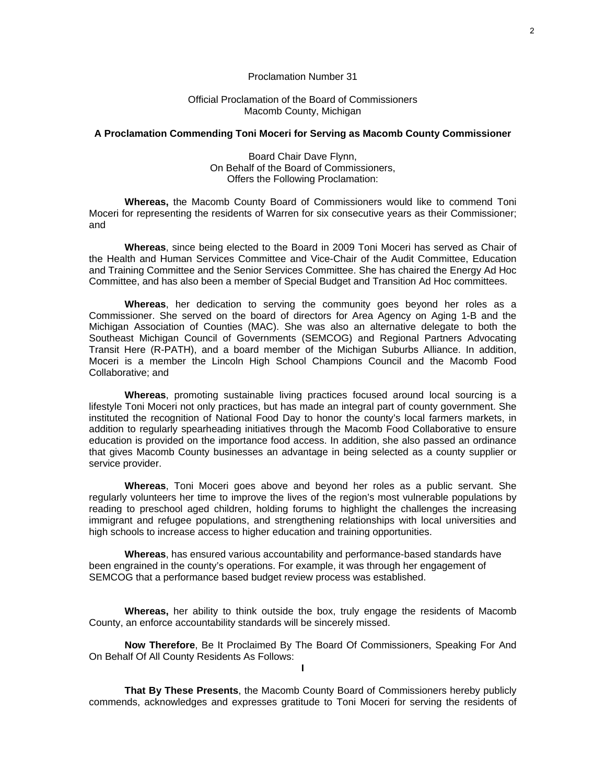#### Proclamation Number 31

#### Official Proclamation of the Board of Commissioners Macomb County, Michigan

#### **A Proclamation Commending Toni Moceri for Serving as Macomb County Commissioner**

Board Chair Dave Flynn, On Behalf of the Board of Commissioners, Offers the Following Proclamation:

**Whereas,** the Macomb County Board of Commissioners would like to commend Toni Moceri for representing the residents of Warren for six consecutive years as their Commissioner; and

**Whereas**, since being elected to the Board in 2009 Toni Moceri has served as Chair of the Health and Human Services Committee and Vice-Chair of the Audit Committee, Education and Training Committee and the Senior Services Committee. She has chaired the Energy Ad Hoc Committee, and has also been a member of Special Budget and Transition Ad Hoc committees.

**Whereas**, her dedication to serving the community goes beyond her roles as a Commissioner. She served on the board of directors for Area Agency on Aging 1-B and the Michigan Association of Counties (MAC). She was also an alternative delegate to both the Southeast Michigan Council of Governments (SEMCOG) and Regional Partners Advocating Transit Here (R-PATH), and a board member of the Michigan Suburbs Alliance. In addition, Moceri is a member the Lincoln High School Champions Council and the Macomb Food Collaborative; and

**Whereas**, promoting sustainable living practices focused around local sourcing is a lifestyle Toni Moceri not only practices, but has made an integral part of county government. She instituted the recognition of National Food Day to honor the county's local farmers markets, in addition to regularly spearheading initiatives through the Macomb Food Collaborative to ensure education is provided on the importance food access. In addition, she also passed an ordinance that gives Macomb County businesses an advantage in being selected as a county supplier or service provider.

**Whereas**, Toni Moceri goes above and beyond her roles as a public servant. She regularly volunteers her time to improve the lives of the region's most vulnerable populations by reading to preschool aged children, holding forums to highlight the challenges the increasing immigrant and refugee populations, and strengthening relationships with local universities and high schools to increase access to higher education and training opportunities.

**Whereas**, has ensured various accountability and performance-based standards have been engrained in the county's operations. For example, it was through her engagement of SEMCOG that a performance based budget review process was established.

**Whereas,** her ability to think outside the box, truly engage the residents of Macomb County, an enforce accountability standards will be sincerely missed.

**Now Therefore**, Be It Proclaimed By The Board Of Commissioners, Speaking For And On Behalf Of All County Residents As Follows: **I** 

**That By These Presents**, the Macomb County Board of Commissioners hereby publicly commends, acknowledges and expresses gratitude to Toni Moceri for serving the residents of